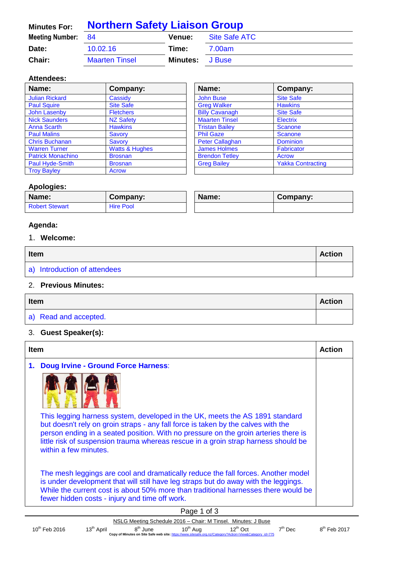| <b>Minutes For:</b> | <b>Northern Safety Liaison Group</b> |          |               |
|---------------------|--------------------------------------|----------|---------------|
| Meeting Number: 84  |                                      | Venue:   | Site Safe ATC |
| Date:               | 10.02.16                             | Time:    | 7.00am        |
| Chair:              | <b>Maarten Tinsel</b>                | Minutes: | J Buse        |

### **Attendees:**

| Name:                    | Company:                  | Name:                  | Company:                 |
|--------------------------|---------------------------|------------------------|--------------------------|
| <b>Julian Rickard</b>    | Cassidy                   | <b>John Buse</b>       | <b>Site Safe</b>         |
| <b>Paul Squire</b>       | <b>Site Safe</b>          | <b>Greg Walker</b>     | <b>Hawkins</b>           |
| <b>John Lasenby</b>      | <b>Fletchers</b>          | <b>Billy Cavanagh</b>  | <b>Site Safe</b>         |
| <b>Nick Saunders</b>     | <b>NZ Safety</b>          | <b>Maarten Tinsel</b>  | <b>Electrix</b>          |
| Anna Scarth              | <b>Hawkins</b>            | <b>Tristan Bailey</b>  | <b>Scanone</b>           |
| <b>Paul Malins</b>       | Savory                    | <b>Phil Gaze</b>       | <b>Scanone</b>           |
| <b>Chris Buchanan</b>    | Savory                    | <b>Peter Callaghan</b> | <b>Dominion</b>          |
| <b>Warren Turner</b>     | <b>Watts &amp; Hughes</b> | <b>James Holmes</b>    | <b>Fabricator</b>        |
| <b>Patrick Monachino</b> | <b>Brosnan</b>            | <b>Brendon Tetley</b>  | Acrow                    |
| Paul Hyde-Smith          | <b>Brosnan</b>            | <b>Greg Bailey</b>     | <b>Yakka Contracting</b> |
| <b>Troy Bayley</b>       | <b>Acrow</b>              |                        |                          |

| Name:                  | Company:                 |
|------------------------|--------------------------|
| <b>John Buse</b>       | <b>Site Safe</b>         |
| <b>Greg Walker</b>     | <b>Hawkins</b>           |
| <b>Billy Cavanagh</b>  | <b>Site Safe</b>         |
| <b>Maarten Tinsel</b>  | <b>Electrix</b>          |
| <b>Tristan Bailey</b>  | <b>Scanone</b>           |
| <b>Phil Gaze</b>       | <b>Scanone</b>           |
| <b>Peter Callaghan</b> | <b>Dominion</b>          |
| <b>James Holmes</b>    | <b>Fabricator</b>        |
| <b>Brendon Tetley</b>  | <b>Acrow</b>             |
| <b>Greg Bailey</b>     | <b>Yakka Contracting</b> |
|                        |                          |

 $\overline{1}$ 

#### **Apologies:**

| Name:                 | Company:         | Name: | Company: |
|-----------------------|------------------|-------|----------|
| <b>Robert Stewart</b> | <b>Hire Pool</b> |       |          |

# **Agenda:**

# 1. **Welcome:**

| Item                         |  |
|------------------------------|--|
| a) Introduction of attendees |  |

### 2. **Previous Minutes:**

| Item                  |  |
|-----------------------|--|
| a) Read and accepted. |  |

## 3. **Guest Speaker(s):**

| <b>Item</b>                                                                                                                                                                                                                                                                                                                                                             | <b>Action</b> |
|-------------------------------------------------------------------------------------------------------------------------------------------------------------------------------------------------------------------------------------------------------------------------------------------------------------------------------------------------------------------------|---------------|
| <b>Doug Irvine - Ground Force Harness:</b><br>1.                                                                                                                                                                                                                                                                                                                        |               |
|                                                                                                                                                                                                                                                                                                                                                                         |               |
| This legging harness system, developed in the UK, meets the AS 1891 standard<br>but doesn't rely on groin straps - any fall force is taken by the calves with the<br>person ending in a seated position. With no pressure on the groin arteries there is<br>little risk of suspension trauma whereas rescue in a groin strap harness should be<br>within a few minutes. |               |
| The mesh leggings are cool and dramatically reduce the fall forces. Another model<br>is under development that will still have leg straps but do away with the leggings.<br>While the current cost is about 50% more than traditional harnesses there would be<br>fewer hidden costs - injury and time off work.                                                        |               |
| Page 1 of 3                                                                                                                                                                                                                                                                                                                                                             |               |

| .                                                                                                       |                        |           |                      |                                                               |                    |               |  |
|---------------------------------------------------------------------------------------------------------|------------------------|-----------|----------------------|---------------------------------------------------------------|--------------------|---------------|--|
|                                                                                                         |                        |           |                      | NSLG Meeting Schedule 2016 – Chair: M Tinsel. Minutes: J Buse |                    |               |  |
| $10^{\text{th}}$ Feb 2016                                                                               | $13^{\text{th}}$ April | $8m$ June | 10 <sup>th</sup> Aug | $12^{\text{m}}$ Oct                                           | <sup>→th</sup> Dec | $8m$ Feb 2017 |  |
| Copy of Minutes on Site Safe web site: https://www.sitesafe.org.nz/Category?Action=View&Category id=775 |                        |           |                      |                                                               |                    |               |  |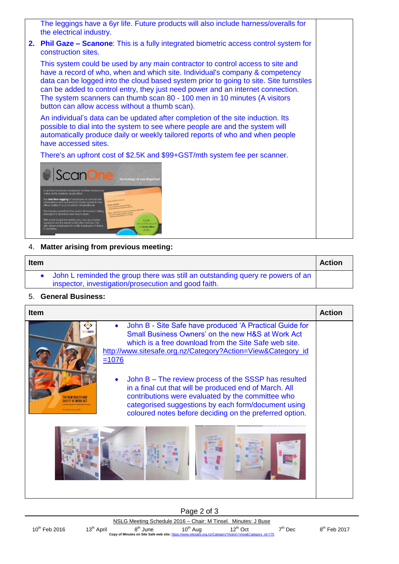

4. **Matter arising from previous meeting:**

| <b>Item</b> |                                                                                                                                          | <b>Action</b> |
|-------------|------------------------------------------------------------------------------------------------------------------------------------------|---------------|
|             | • John L reminded the group there was still an outstanding query re powers of an<br>inspector, investigation/prosecution and good faith. |               |

#### 5. **General Business:**

| <b>Item</b> |                                                                                                                                                                                                                                                                                                                                                                                                                                                                                                                                           | <b>Action</b> |
|-------------|-------------------------------------------------------------------------------------------------------------------------------------------------------------------------------------------------------------------------------------------------------------------------------------------------------------------------------------------------------------------------------------------------------------------------------------------------------------------------------------------------------------------------------------------|---------------|
|             | John B - Site Safe have produced 'A Practical Guide for<br>Small Business Owners' on the new H&S at Work Act<br>which is a free download from the Site Safe web site.<br>http://www.sitesafe.org.nz/Category?Action=View&Category_id<br>$= 1076$<br>John B - The review process of the SSSP has resulted<br>in a final cut that will be produced end of March. All<br>contributions were evaluated by the committee who<br>categorised suggestions by each form/document using<br>coloured notes before deciding on the preferred option. |               |
|             |                                                                                                                                                                                                                                                                                                                                                                                                                                                                                                                                           |               |

 $8<sup>th</sup>$  Feb 2017